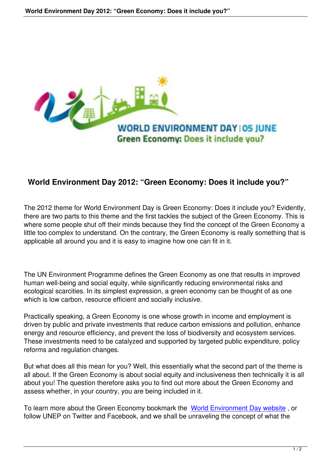

## **World Environment Day 2012: "Green Economy: Does it include you?"**

The 2012 theme for World Environment Day is Green Economy: Does it include you? Evidently, there are two parts to this theme and the first tackles the subject of the Green Economy. This is where some people shut off their minds because they find the concept of the Green Economy a little too complex to understand. On the contrary, the Green Economy is really something that is applicable all around you and it is easy to imagine how one can fit in it.

The UN Environment Programme defines the Green Economy as one that results in improved human well-being and social equity, while significantly reducing environmental risks and ecological scarcities. In its simplest expression, a green economy can be thought of as one which is low carbon, resource efficient and socially inclusive.

Practically speaking, a Green Economy is one whose growth in income and employment is driven by public and private investments that reduce carbon emissions and pollution, enhance energy and resource efficiency, and prevent the loss of biodiversity and ecosystem services. These investments need to be catalyzed and supported by targeted public expenditure, policy reforms and regulation changes.

But what does all this mean for you? Well, this essentially what the second part of the theme is all about. If the Green Economy is about social equity and inclusiveness then technically it is all about you! The question therefore asks you to find out more about the Green Economy and assess whether, in your country, you are being included in it.

To learn more about the Green Economy bookmark the World Environment Day website , or follow UNEP on Twitter and Facebook, and we shall be unraveling the concept of what the